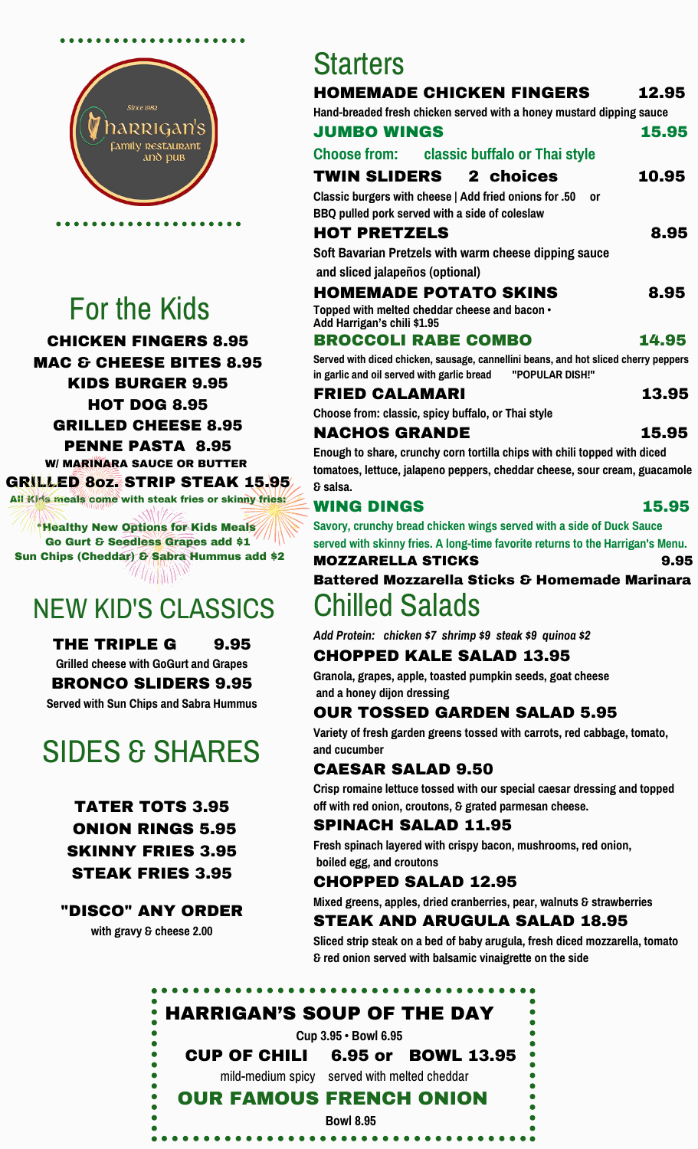

## For the Kids

CHICKEN FINGERS 8.95 MAC & CHEESE BITES 8.95 KIDS BURGER 9.95 HOT DOG 8.95 GRILLED CHEESE 8.95

PENNE PASTA 8.95 W/ MARINARA SAUCE OR BUTTER GRILLED 8oz. STRIP STEAK 15.95 All Kids meals come with steak fries or skinny fries:

\*Healthy New Options for Kids Meals Go Gurt & Seedless Grapes add \$1 Sun Chips (Cheddar) & Sabra Hummus add \$2  $\mathscr{W}/\mathscr{W}/\mathscr{W}/\mathscr{W}$ 

## NEW KID'S CLASSICS

THE TRIPLE G 9.95 **Grilled cheese with GoGurt and Grapes** BRONCO SLIDERS 9.95 **Served with Sun Chips and Sabra Hummus**

# SIDES & SHARES

TATER TOTS 3.95 ONION RINGS 5.95 SKINNY FRIES 3.95 STEAK FRIES 3.95

"DISCO" ANY ORDER

**with gravy & cheese 2.00**

## **Starters**

| <b>HOMEMADE CHICKEN FINGERS</b><br>Hand-breaded fresh chicken served with a honey mustard dipping sauce<br><b>JUMBO WINGS</b>                        | 12.95<br>15.95 |
|------------------------------------------------------------------------------------------------------------------------------------------------------|----------------|
| Choose from: classic buffalo or Thai style                                                                                                           |                |
| <b>TWIN SLIDERS</b> 2 choices                                                                                                                        | 10.95          |
| Classic burgers with cheese   Add fried onions for .50<br>0r<br>BBQ pulled pork served with a side of coleslaw                                       |                |
| <b>HOT PRETZELS</b>                                                                                                                                  | 8.95           |
| Soft Bavarian Pretzels with warm cheese dipping sauce                                                                                                |                |
| and sliced jalapeños (optional)                                                                                                                      |                |
| <b>HOMEMADE POTATO SKINS</b>                                                                                                                         | 8.95           |
| Topped with melted cheddar cheese and bacon •<br>Add Harrigan's chili \$1.95                                                                         |                |
| <b>BROCCOLI RABE COMBO</b>                                                                                                                           | 14.95          |
| Served with diced chicken, sausage, cannellini beans, and hot sliced cherry peppers<br>in garlic and oil served with garlic bread<br>"POPULAR DISH!" |                |
| <b>FRIED CALAMARI</b>                                                                                                                                | 13.95          |
| Choose from: classic, spicy buffalo, or Thai style                                                                                                   |                |
|                                                                                                                                                      |                |
| NACHOS GRANDE                                                                                                                                        | 15.95          |

#### WING DINGS 15.95

**Savory, crunchy bread chicken wings served with a side of Duck Sauce served with skinny fries. A long-time favorite returns to the Harrigan's Menu.**

#### MOZZARELLA STICKS 9.95

Battered Mozzarella Sticks & Homemade Marinara Chilled Salads

*Add Protein: chicken \$7 shrimp \$9 steak \$9 quinoa \$2*

#### CHOPPED KALE SALAD 13.95

**Granola, grapes, apple, toasted pumpkin seeds, goat cheese and a honey dijon dressing**

#### OUR TOSSED GARDEN SALAD 5.95

**Variety of fresh garden greens tossed with carrots, red cabbage, tomato, and cucumber**

#### CAESAR SALAD 9.50

**Crisp romaine lettuce tossed with our special caesar dressing and topped off with red onion, croutons, & grated parmesan cheese.**

#### SPINACH SALAD 11.95

**Fresh spinach layered with crispy bacon, mushrooms, red onion, boiled egg, and croutons**

#### CHOPPED SALAD 12.95

**Mixed greens, apples, dried cranberries, pear, walnuts & strawberries**

#### STEAK AND ARUGULA SALAD 18.95

**Sliced strip steak on a bed of baby arugula, fresh diced mozzarella, tomato & red onion served with balsamic vinaigrette on the side**

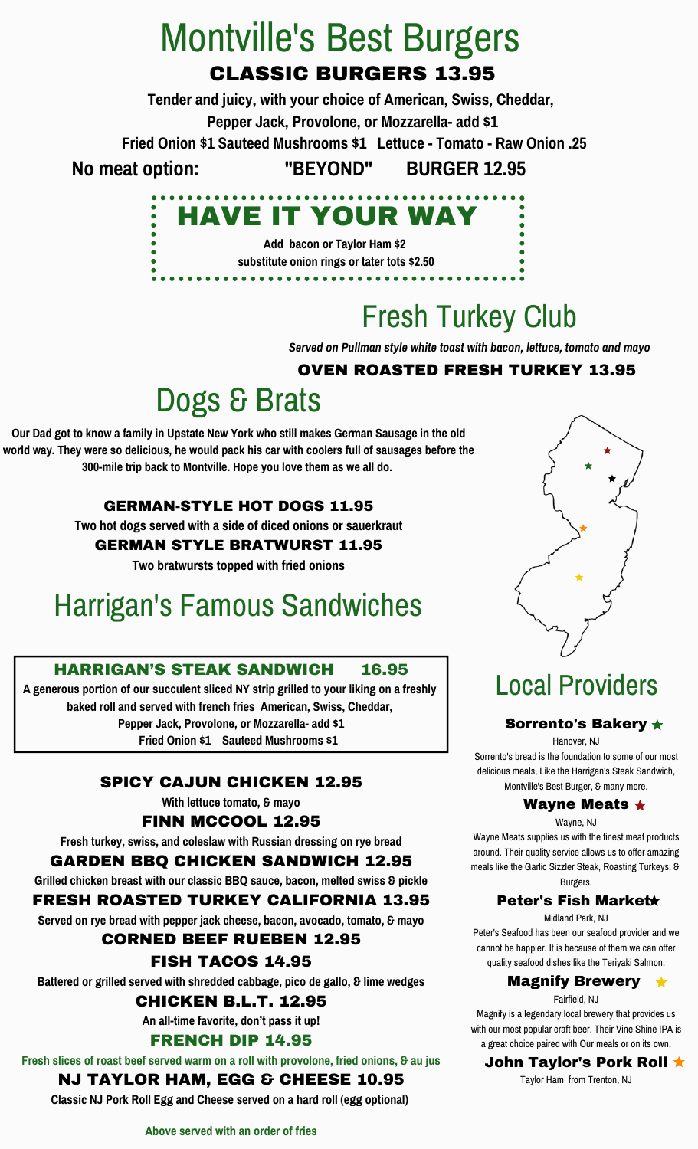## CLASSIC BURGERS 13.95 Montville's Best Burgers

**Tender and juicy, with your choice of American, Swiss, Cheddar,**

**Pepper Jack, Provolone, or Mozzarella- add \$1**

**Fried Onion \$1 Sauteed Mushrooms \$1 Lettuce - Tomato - Raw Onion .25**

**No meat option: "BEYOND" BURGER 12.95**



**Add bacon or Taylor Ham \$2 substitute onion rings or tater tots \$2.50**

---------------------------

# Fresh Turkey Club

*Served on Pullman style white toast with bacon, lettuce, tomato and mayo*

#### OVEN ROASTED FRESH TURKEY 13.95

## Dogs & Brats

**Our Dad got to know a family in Upstate New York who still makes German Sausage in the old world way. They were so delicious, he would pack his car with coolers full of sausages before the 300-mile trip back to Montville. Hope you love them as we all do.**

#### GERMAN-STYLE HOT DOGS 11.95

**Two hot dogs served with a side of diced onions or sauerkraut**

GERMAN STYLE BRATWURST 11.95

**Two bratwursts topped with fried onions**

## Harrigan's Famous Sandwiches

#### HARRIGAN'S STEAK SANDWICH 16.95

**A generous portion of our succulent sliced NY strip grilled to your liking on a freshly baked roll and served with french fries American, Swiss, Cheddar, Pepper Jack, Provolone, or Mozzarella- add \$1 Fried Onion \$1 Sauteed Mushrooms \$1**

#### SPICY CAJUN CHICKEN 12.95

**With lettuce tomato, & mayo**

FINN MCCOOL 12.95

**Fresh turkey, swiss, and coleslaw with Russian dressing on rye bread**

#### GARDEN BBQ CHICKEN SANDWICH 12.95

**Grilled chicken breast with our classic BBQ sauce, bacon, melted swiss & pickle**

#### FRESH ROASTED TURKEY CALIFORNIA 13.95

**Served on rye bread with pepper jack cheese, bacon, avocado, tomato, & mayo**

#### CORNED BEEF RUEBEN 12.95

#### FISH TACOS 14.95

**Battered or grilled served with shredded cabbage, pico de gallo, & lime wedges**

CHICKEN B.L.T. 12.95

**An all-time favorite, don't pass it up!**

#### FRENCH DIP 14.95

**Fresh slices of roast beef served warm on a roll with provolone, fried onions, & au jus**

#### NJ TAYLOR HAM, EGG & CHEESE 10.95

**Classic NJ Pork Roll Egg and Cheese served on a hard roll (egg optional)**



## Local Providers

#### Sorrento's Bakery  $\star$

Hanover, NJ Sorrento's bread is the foundation to some of our most delicious meals, Like the Harrigan's Steak Sandwich, Montville's Best Burger, & many more.

#### Wayne Meats  $\star$

Wayne, NJ

Wayne Meats supplies us with the finest meat products around. Their quality service allows us to offer amazing meals like the Garlic Sizzler Steak, Roasting Turkeys, & Burgers.

#### Peter's Fish Market

Midland Park, NJ

Peter's Seafood has been our seafood provider and we cannot be happier. It is because of them we can offer quality seafood dishes like the Teriyaki Salmon.

#### Magnify Brewery

Fairfield, NJ Magnify is a legendary local brewery that provides us with our most popular craft beer. Their Vine Shine IPA is

#### **John Taylor's Pork Roll ★**

Taylor Ham from Trenton, NJ

a great choice paired with Our meals or on its own.